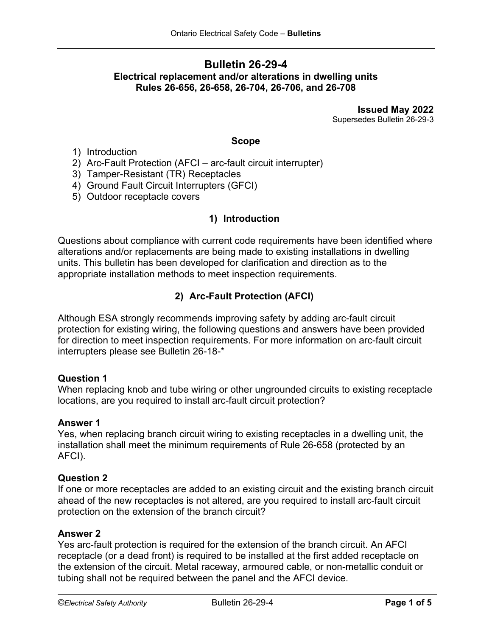## **Bulletin 26-29-4 Electrical replacement and/or alterations in dwelling units Rules 26-656, 26-658, 26-704, 26-706, and 26-708**

**Issued May 2022** Supersedes Bulletin 26-29-3

#### **Scope**

- 1) Introduction
- 2) Arc-Fault Protection (AFCI arc-fault circuit interrupter)
- 3) Tamper-Resistant (TR) Receptacles
- 4) Ground Fault Circuit Interrupters (GFCI)
- 5) Outdoor receptacle covers

## **1) Introduction**

Questions about compliance with current code requirements have been identified where alterations and/or replacements are being made to existing installations in dwelling units. This bulletin has been developed for clarification and direction as to the appropriate installation methods to meet inspection requirements.

# **2) Arc-Fault Protection (AFCI)**

Although ESA strongly recommends improving safety by adding arc-fault circuit protection for existing wiring, the following questions and answers have been provided for direction to meet inspection requirements. For more information on arc-fault circuit interrupters please see Bulletin 26-18-\*

## **Question 1**

When replacing knob and tube wiring or other ungrounded circuits to existing receptacle locations, are you required to install arc-fault circuit protection?

## **Answer 1**

Yes, when replacing branch circuit wiring to existing receptacles in a dwelling unit, the installation shall meet the minimum requirements of Rule 26-658 (protected by an AFCI).

#### **Question 2**

If one or more receptacles are added to an existing circuit and the existing branch circuit ahead of the new receptacles is not altered, are you required to install arc-fault circuit protection on the extension of the branch circuit?

#### **Answer 2**

Yes arc-fault protection is required for the extension of the branch circuit. An AFCI receptacle (or a dead front) is required to be installed at the first added receptacle on the extension of the circuit. Metal raceway, armoured cable, or non-metallic conduit or tubing shall not be required between the panel and the AFCI device.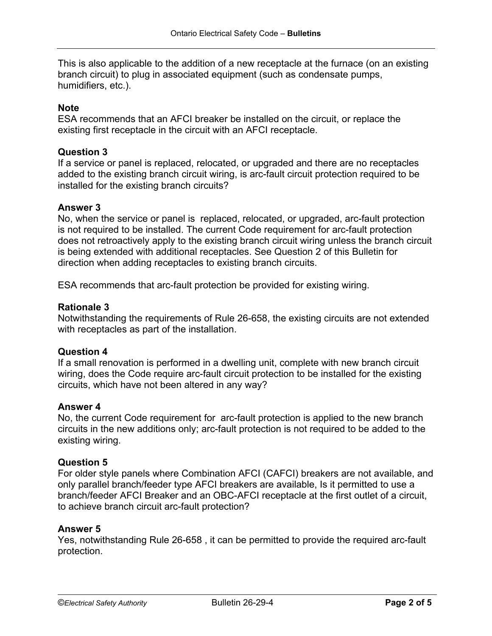This is also applicable to the addition of a new receptacle at the furnace (on an existing branch circuit) to plug in associated equipment (such as condensate pumps, humidifiers, etc.).

## **Note**

ESA recommends that an AFCI breaker be installed on the circuit, or replace the existing first receptacle in the circuit with an AFCI receptacle.

## **Question 3**

If a service or panel is replaced, relocated, or upgraded and there are no receptacles added to the existing branch circuit wiring, is arc-fault circuit protection required to be installed for the existing branch circuits?

## **Answer 3**

No, when the service or panel is replaced, relocated, or upgraded, arc-fault protection is not required to be installed. The current Code requirement for arc-fault protection does not retroactively apply to the existing branch circuit wiring unless the branch circuit is being extended with additional receptacles. See Question 2 of this Bulletin for direction when adding receptacles to existing branch circuits.

ESA recommends that arc-fault protection be provided for existing wiring.

## **Rationale 3**

Notwithstanding the requirements of Rule 26-658, the existing circuits are not extended with receptacles as part of the installation.

## **Question 4**

If a small renovation is performed in a dwelling unit, complete with new branch circuit wiring, does the Code require arc-fault circuit protection to be installed for the existing circuits, which have not been altered in any way?

#### **Answer 4**

No, the current Code requirement for arc-fault protection is applied to the new branch circuits in the new additions only; arc-fault protection is not required to be added to the existing wiring.

#### **Question 5**

For older style panels where Combination AFCI (CAFCI) breakers are not available, and only parallel branch/feeder type AFCI breakers are available, Is it permitted to use a branch/feeder AFCI Breaker and an OBC-AFCI receptacle at the first outlet of a circuit, to achieve branch circuit arc-fault protection?

## **Answer 5**

Yes, notwithstanding Rule 26-658 , it can be permitted to provide the required arc-fault protection.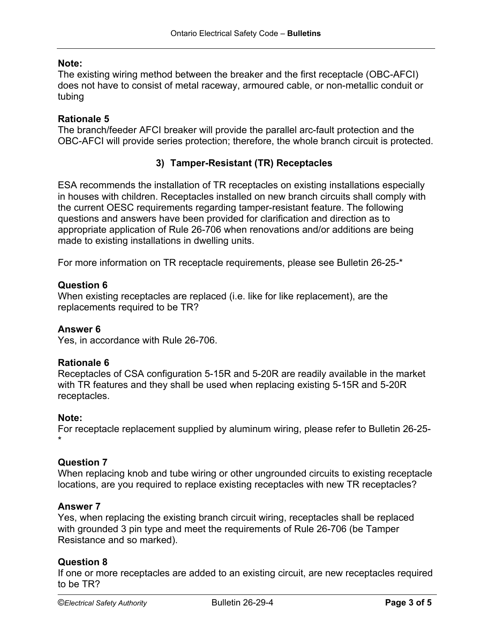## **Note:**

The existing wiring method between the breaker and the first receptacle (OBC-AFCI) does not have to consist of metal raceway, armoured cable, or non-metallic conduit or tubing

## **Rationale 5**

The branch/feeder AFCI breaker will provide the parallel arc-fault protection and the OBC-AFCI will provide series protection; therefore, the whole branch circuit is protected.

## **3) Tamper-Resistant (TR) Receptacles**

ESA recommends the installation of TR receptacles on existing installations especially in houses with children. Receptacles installed on new branch circuits shall comply with the current OESC requirements regarding tamper-resistant feature. The following questions and answers have been provided for clarification and direction as to appropriate application of Rule 26-706 when renovations and/or additions are being made to existing installations in dwelling units.

For more information on TR receptacle requirements, please see Bulletin 26-25-\*

## **Question 6**

When existing receptacles are replaced (i.e. like for like replacement), are the replacements required to be TR?

#### **Answer 6**

Yes, in accordance with Rule 26-706.

#### **Rationale 6**

Receptacles of CSA configuration 5-15R and 5-20R are readily available in the market with TR features and they shall be used when replacing existing 5-15R and 5-20R receptacles.

#### **Note:**

For receptacle replacement supplied by aluminum wiring, please refer to Bulletin 26-25- \*

#### **Question 7**

When replacing knob and tube wiring or other ungrounded circuits to existing receptacle locations, are you required to replace existing receptacles with new TR receptacles?

#### **Answer 7**

Yes, when replacing the existing branch circuit wiring, receptacles shall be replaced with grounded 3 pin type and meet the requirements of Rule 26-706 (be Tamper Resistance and so marked).

#### **Question 8**

If one or more receptacles are added to an existing circuit, are new receptacles required to be TR?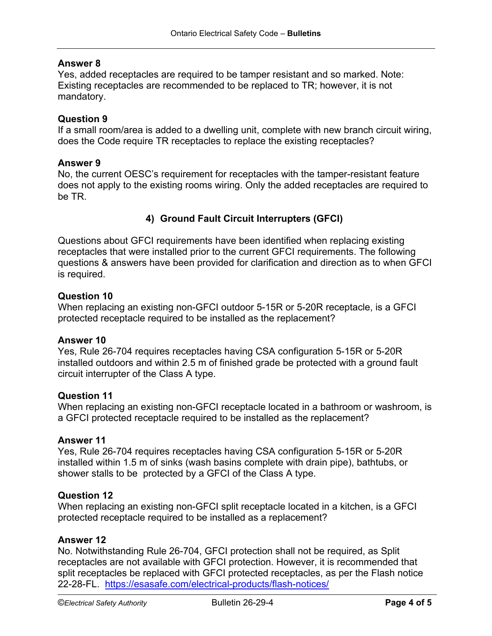## **Answer 8**

Yes, added receptacles are required to be tamper resistant and so marked. Note: Existing receptacles are recommended to be replaced to TR; however, it is not mandatory.

## **Question 9**

If a small room/area is added to a dwelling unit, complete with new branch circuit wiring, does the Code require TR receptacles to replace the existing receptacles?

#### **Answer 9**

No, the current OESC's requirement for receptacles with the tamper-resistant feature does not apply to the existing rooms wiring. Only the added receptacles are required to be TR.

## **4) Ground Fault Circuit Interrupters (GFCI)**

Questions about GFCI requirements have been identified when replacing existing receptacles that were installed prior to the current GFCI requirements. The following questions & answers have been provided for clarification and direction as to when GFCI is required.

#### **Question 10**

When replacing an existing non-GFCI outdoor 5-15R or 5-20R receptacle, is a GFCI protected receptacle required to be installed as the replacement?

#### **Answer 10**

Yes, Rule 26-704 requires receptacles having CSA configuration 5-15R or 5-20R installed outdoors and within 2.5 m of finished grade be protected with a ground fault circuit interrupter of the Class A type.

#### **Question 11**

When replacing an existing non-GFCI receptacle located in a bathroom or washroom, is a GFCI protected receptacle required to be installed as the replacement?

#### **Answer 11**

Yes, Rule 26-704 requires receptacles having CSA configuration 5-15R or 5-20R installed within 1.5 m of sinks (wash basins complete with drain pipe), bathtubs, or shower stalls to be protected by a GFCI of the Class A type.

#### **Question 12**

When replacing an existing non-GFCI split receptacle located in a kitchen, is a GFCI protected receptacle required to be installed as a replacement?

#### **Answer 12**

No. Notwithstanding Rule 26-704, GFCI protection shall not be required, as Split receptacles are not available with GFCI protection. However, it is recommended that split receptacles be replaced with GFCI protected receptacles, as per the Flash notice 22-28-FL. <https://esasafe.com/electrical-products/flash-notices/>